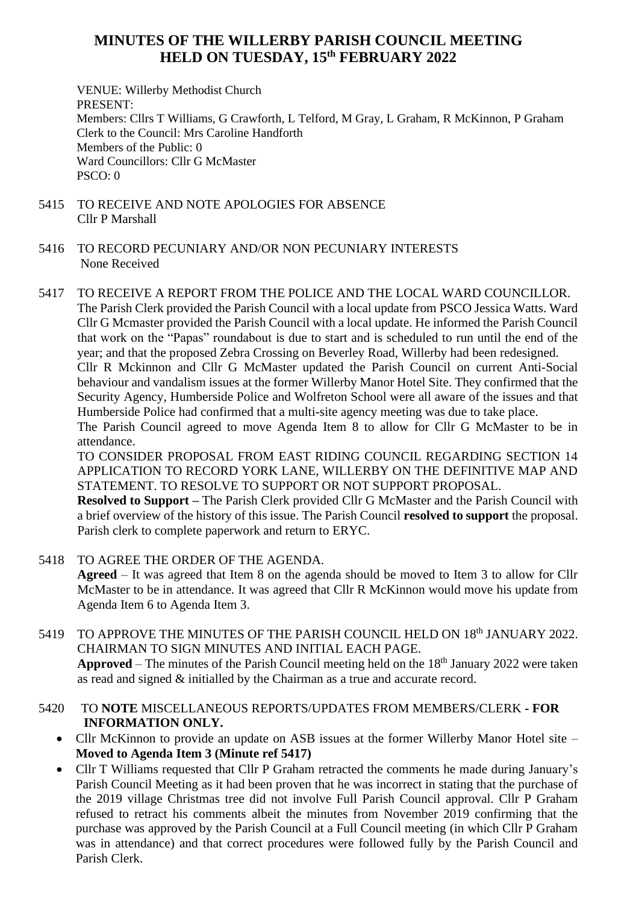## **MINUTES OF THE WILLERBY PARISH COUNCIL MEETING HELD ON TUESDAY, 15 th FEBRUARY 2022**

VENUE: Willerby Methodist Church PRESENT: Members: Cllrs T Williams, G Crawforth, L Telford, M Gray, L Graham, R McKinnon, P Graham Clerk to the Council: Mrs Caroline Handforth Members of the Public: 0 Ward Councillors: Cllr G McMaster  $PSCO: 0$ 

- 5415 TO RECEIVE AND NOTE APOLOGIES FOR ABSENCE Cllr P Marshall
- 5416 TO RECORD PECUNIARY AND/OR NON PECUNIARY INTERESTS None Received
- 5417 TO RECEIVE A REPORT FROM THE POLICE AND THE LOCAL WARD COUNCILLOR. The Parish Clerk provided the Parish Council with a local update from PSCO Jessica Watts. Ward

Cllr G Mcmaster provided the Parish Council with a local update. He informed the Parish Council that work on the "Papas" roundabout is due to start and is scheduled to run until the end of the year; and that the proposed Zebra Crossing on Beverley Road, Willerby had been redesigned. Cllr R Mckinnon and Cllr G McMaster updated the Parish Council on current Anti-Social

behaviour and vandalism issues at the former Willerby Manor Hotel Site. They confirmed that the Security Agency, Humberside Police and Wolfreton School were all aware of the issues and that Humberside Police had confirmed that a multi-site agency meeting was due to take place.

The Parish Council agreed to move Agenda Item 8 to allow for Cllr G McMaster to be in attendance.

TO CONSIDER PROPOSAL FROM EAST RIDING COUNCIL REGARDING SECTION 14 APPLICATION TO RECORD YORK LANE, WILLERBY ON THE DEFINITIVE MAP AND STATEMENT. TO RESOLVE TO SUPPORT OR NOT SUPPORT PROPOSAL.

**Resolved to Support –** The Parish Clerk provided Cllr G McMaster and the Parish Council with a brief overview of the history of this issue. The Parish Council **resolved to support** the proposal. Parish clerk to complete paperwork and return to ERYC.

5418 TO AGREE THE ORDER OF THE AGENDA.

**Agreed** – It was agreed that Item 8 on the agenda should be moved to Item 3 to allow for Cllr McMaster to be in attendance. It was agreed that Cllr R McKinnon would move his update from Agenda Item 6 to Agenda Item 3.

- 5419 TO APPROVE THE MINUTES OF THE PARISH COUNCIL HELD ON 18<sup>th</sup> JANUARY 2022. CHAIRMAN TO SIGN MINUTES AND INITIAL EACH PAGE. **Approved** – The minutes of the Parish Council meeting held on the 18<sup>th</sup> January 2022 were taken as read and signed & initialled by the Chairman as a true and accurate record.
- 5420 TO **NOTE** MISCELLANEOUS REPORTS/UPDATES FROM MEMBERS/CLERK **- FOR INFORMATION ONLY.**
	- Cllr McKinnon to provide an update on ASB issues at the former Willerby Manor Hotel site **Moved to Agenda Item 3 (Minute ref 5417)**
	- Cllr T Williams requested that Cllr P Graham retracted the comments he made during January's Parish Council Meeting as it had been proven that he was incorrect in stating that the purchase of the 2019 village Christmas tree did not involve Full Parish Council approval. Cllr P Graham refused to retract his comments albeit the minutes from November 2019 confirming that the purchase was approved by the Parish Council at a Full Council meeting (in which Cllr P Graham was in attendance) and that correct procedures were followed fully by the Parish Council and Parish Clerk.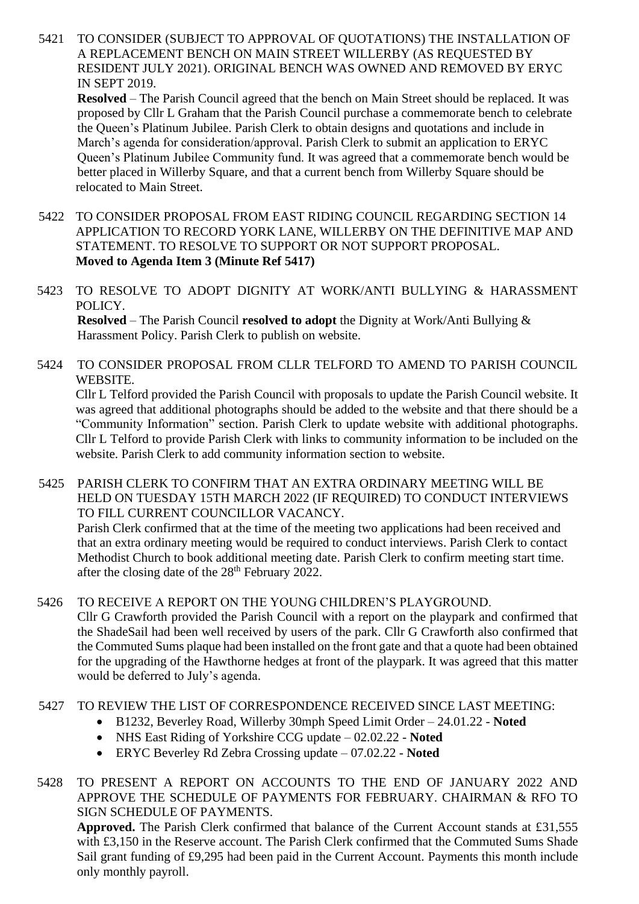5421 TO CONSIDER (SUBJECT TO APPROVAL OF QUOTATIONS) THE INSTALLATION OF A REPLACEMENT BENCH ON MAIN STREET WILLERBY (AS REQUESTED BY RESIDENT JULY 2021). ORIGINAL BENCH WAS OWNED AND REMOVED BY ERYC IN SEPT 2019.

**Resolved** – The Parish Council agreed that the bench on Main Street should be replaced. It was proposed by Cllr L Graham that the Parish Council purchase a commemorate bench to celebrate the Queen's Platinum Jubilee. Parish Clerk to obtain designs and quotations and include in March's agenda for consideration/approval. Parish Clerk to submit an application to ERYC Queen's Platinum Jubilee Community fund. It was agreed that a commemorate bench would be better placed in Willerby Square, and that a current bench from Willerby Square should be relocated to Main Street.

- 5422 TO CONSIDER PROPOSAL FROM EAST RIDING COUNCIL REGARDING SECTION 14 APPLICATION TO RECORD YORK LANE, WILLERBY ON THE DEFINITIVE MAP AND STATEMENT. TO RESOLVE TO SUPPORT OR NOT SUPPORT PROPOSAL. **Moved to Agenda Item 3 (Minute Ref 5417)**
- 5423 TO RESOLVE TO ADOPT DIGNITY AT WORK/ANTI BULLYING & HARASSMENT POLICY. **Resolved** – The Parish Council **resolved to adopt** the Dignity at Work/Anti Bullying & Harassment Policy. Parish Clerk to publish on website.
- 5424 TO CONSIDER PROPOSAL FROM CLLR TELFORD TO AMEND TO PARISH COUNCIL WEBSITE.

Cllr L Telford provided the Parish Council with proposals to update the Parish Council website. It was agreed that additional photographs should be added to the website and that there should be a "Community Information" section. Parish Clerk to update website with additional photographs. Cllr L Telford to provide Parish Clerk with links to community information to be included on the website. Parish Clerk to add community information section to website.

5425 PARISH CLERK TO CONFIRM THAT AN EXTRA ORDINARY MEETING WILL BE HELD ON TUESDAY 15TH MARCH 2022 (IF REQUIRED) TO CONDUCT INTERVIEWS TO FILL CURRENT COUNCILLOR VACANCY.

Parish Clerk confirmed that at the time of the meeting two applications had been received and that an extra ordinary meeting would be required to conduct interviews. Parish Clerk to contact Methodist Church to book additional meeting date. Parish Clerk to confirm meeting start time. after the closing date of the  $28<sup>th</sup>$  February 2022.

5426 TO RECEIVE A REPORT ON THE YOUNG CHILDREN'S PLAYGROUND.

Cllr G Crawforth provided the Parish Council with a report on the playpark and confirmed that the ShadeSail had been well received by users of the park. Cllr G Crawforth also confirmed that the Commuted Sums plaque had been installed on the front gate and that a quote had been obtained for the upgrading of the Hawthorne hedges at front of the playpark. It was agreed that this matter would be deferred to July's agenda.

- 5427 TO REVIEW THE LIST OF CORRESPONDENCE RECEIVED SINCE LAST MEETING:
	- B1232, Beverley Road, Willerby 30mph Speed Limit Order 24.01.22 **Noted**
	- NHS East Riding of Yorkshire CCG update 02.02.22 **Noted**
	- ERYC Beverley Rd Zebra Crossing update 07.02.22 **Noted**
- 5428 TO PRESENT A REPORT ON ACCOUNTS TO THE END OF JANUARY 2022 AND APPROVE THE SCHEDULE OF PAYMENTS FOR FEBRUARY. CHAIRMAN & RFO TO SIGN SCHEDULE OF PAYMENTS.

**Approved.** The Parish Clerk confirmed that balance of the Current Account stands at £31,555 with £3,150 in the Reserve account. The Parish Clerk confirmed that the Commuted Sums Shade Sail grant funding of £9,295 had been paid in the Current Account. Payments this month include only monthly payroll.